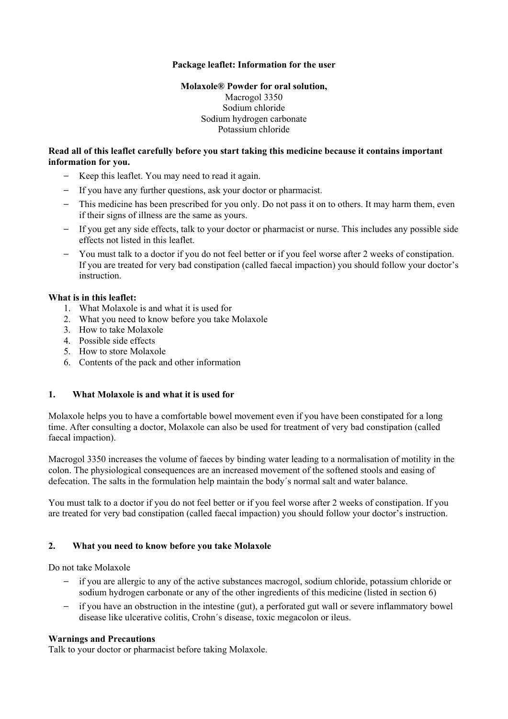## **Package leaflet: Information for the user**

# **Molaxole® Powder for oral solution,**

Macrogol 3350 Sodium chloride Sodium hydrogen carbonate Potassium chloride

### **Read all of this leaflet carefully before you start taking this medicine because it contains important information for you.**

- Keep this leaflet. You may need to read it again.
- If you have any further questions, ask your doctor or pharmacist.
- This medicine has been prescribed for you only. Do not pass it on to others. It may harm them, even if their signs of illness are the same as yours.
- If you get any side effects, talk to your doctor or pharmacist or nurse. This includes any possible side effects not listed in this leaflet.
- You must talk to a doctor if you do not feel better or if you feel worse after 2 weeks of constipation. If you are treated for very bad constipation (called faecal impaction) you should follow your doctor's instruction.

## **What is in this leaflet:**

- 1. What Molaxole is and what it is used for
- 2. What you need to know before you take Molaxole
- 3. How to take Molaxole
- 4. Possible side effects
- 5. How to store Molaxole
- 6. Contents of the pack and other information

# **1. What Molaxole is and what it is used for**

Molaxole helps you to have a comfortable bowel movement even if you have been constipated for a long time. After consulting a doctor, Molaxole can also be used for treatment of very bad constipation (called faecal impaction).

Macrogol 3350 increases the volume of faeces by binding water leading to a normalisation of motility in the colon. The physiological consequences are an increased movement of the softened stools and easing of defecation. The salts in the formulation help maintain the body´s normal salt and water balance.

You must talk to a doctor if you do not feel better or if you feel worse after 2 weeks of constipation. If you are treated for very bad constipation (called faecal impaction) you should follow your doctor's instruction.

# **2. What you need to know before you take Molaxole**

Do not take Molaxole

- if you are allergic to any of the active substances macrogol, sodium chloride, potassium chloride or sodium hydrogen carbonate or any of the other ingredients of this medicine (listed in section 6)
- if you have an obstruction in the intestine (gut), a perforated gut wall or severe inflammatory bowel disease like ulcerative colitis, Crohn´s disease, toxic megacolon or ileus.

#### **Warnings and Precautions**

Talk to your doctor or pharmacist before taking Molaxole.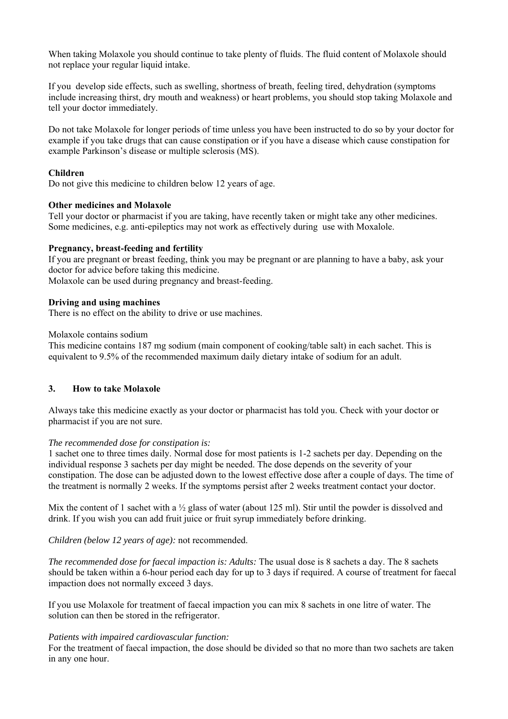When taking Molaxole you should continue to take plenty of fluids. The fluid content of Molaxole should not replace your regular liquid intake.

If you develop side effects, such as swelling, shortness of breath, feeling tired, dehydration (symptoms include increasing thirst, dry mouth and weakness) or heart problems, you should stop taking Molaxole and tell your doctor immediately.

Do not take Molaxole for longer periods of time unless you have been instructed to do so by your doctor for example if you take drugs that can cause constipation or if you have a disease which cause constipation for example Parkinson's disease or multiple sclerosis (MS).

### **Children**

Do not give this medicine to children below 12 years of age.

## **Other medicines and Molaxole**

Tell your doctor or pharmacist if you are taking, have recently taken or might take any other medicines. Some medicines, e.g. anti-epileptics may not work as effectively during use with Moxalole.

#### **Pregnancy, breast-feeding and fertility**

If you are pregnant or breast feeding, think you may be pregnant or are planning to have a baby, ask your doctor for advice before taking this medicine.

Molaxole can be used during pregnancy and breast-feeding.

#### **Driving and using machines**

There is no effect on the ability to drive or use machines.

#### Molaxole contains sodium

This medicine contains 187 mg sodium (main component of cooking/table salt) in each sachet. This is equivalent to 9.5% of the recommended maximum daily dietary intake of sodium for an adult.

#### **3. How to take Molaxole**

Always take this medicine exactly as your doctor or pharmacist has told you. Check with your doctor or pharmacist if you are not sure.

#### *The recommended dose for constipation is:*

1 sachet one to three times daily. Normal dose for most patients is 1-2 sachets per day. Depending on the individual response 3 sachets per day might be needed. The dose depends on the severity of your constipation. The dose can be adjusted down to the lowest effective dose after a couple of days. The time of the treatment is normally 2 weeks. If the symptoms persist after 2 weeks treatment contact your doctor.

Mix the content of 1 sachet with a  $\frac{1}{2}$  glass of water (about 125 ml). Stir until the powder is dissolved and drink. If you wish you can add fruit juice or fruit syrup immediately before drinking.

#### *Children (below 12 years of age):* not recommended.

*The recommended dose for faecal impaction is: Adults:* The usual dose is 8 sachets a day. The 8 sachets should be taken within a 6-hour period each day for up to 3 days if required. A course of treatment for faecal impaction does not normally exceed 3 days.

If you use Molaxole for treatment of faecal impaction you can mix 8 sachets in one litre of water. The solution can then be stored in the refrigerator.

#### *Patients with impaired cardiovascular function:*

For the treatment of faecal impaction, the dose should be divided so that no more than two sachets are taken in any one hour.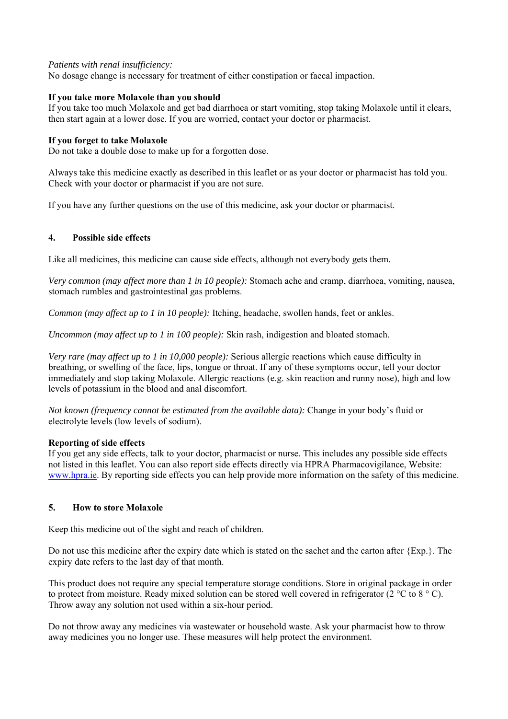#### *Patients with renal insufficiency:*

No dosage change is necessary for treatment of either constipation or faecal impaction.

## **If you take more Molaxole than you should**

If you take too much Molaxole and get bad diarrhoea or start vomiting, stop taking Molaxole until it clears, then start again at a lower dose. If you are worried, contact your doctor or pharmacist.

### **If you forget to take Molaxole**

Do not take a double dose to make up for a forgotten dose.

Always take this medicine exactly as described in this leaflet or as your doctor or pharmacist has told you. Check with your doctor or pharmacist if you are not sure.

If you have any further questions on the use of this medicine, ask your doctor or pharmacist.

## **4. Possible side effects**

Like all medicines, this medicine can cause side effects, although not everybody gets them.

*Very common (may affect more than 1 in 10 people):* Stomach ache and cramp, diarrhoea, vomiting, nausea, stomach rumbles and gastrointestinal gas problems.

*Common (may affect up to 1 in 10 people):* Itching, headache, swollen hands, feet or ankles.

*Uncommon (may affect up to 1 in 100 people):* Skin rash, indigestion and bloated stomach.

*Very rare (may affect up to 1 in 10,000 people):* Serious allergic reactions which cause difficulty in breathing, or swelling of the face, lips, tongue or throat. If any of these symptoms occur, tell your doctor immediately and stop taking Molaxole. Allergic reactions (e.g. skin reaction and runny nose), high and low levels of potassium in the blood and anal discomfort.

*Not known (frequency cannot be estimated from the available data):* Change in your body's fluid or electrolyte levels (low levels of sodium).

#### **Reporting of side effects**

If you get any side effects, talk to your doctor, pharmacist or nurse. This includes any possible side effects not listed in this leaflet. You can also report side effects directly via HPRA Pharmacovigilance, Website: www.hpra.ie. By reporting side effects you can help provide more information on the safety of this medicine.

#### **5. How to store Molaxole**

Keep this medicine out of the sight and reach of children.

Do not use this medicine after the expiry date which is stated on the sachet and the carton after {Exp.}. The expiry date refers to the last day of that month.

This product does not require any special temperature storage conditions. Store in original package in order to protect from moisture. Ready mixed solution can be stored well covered in refrigerator (2 °C to 8 ° C). Throw away any solution not used within a six-hour period.

Do not throw away any medicines via wastewater or household waste. Ask your pharmacist how to throw away medicines you no longer use. These measures will help protect the environment.